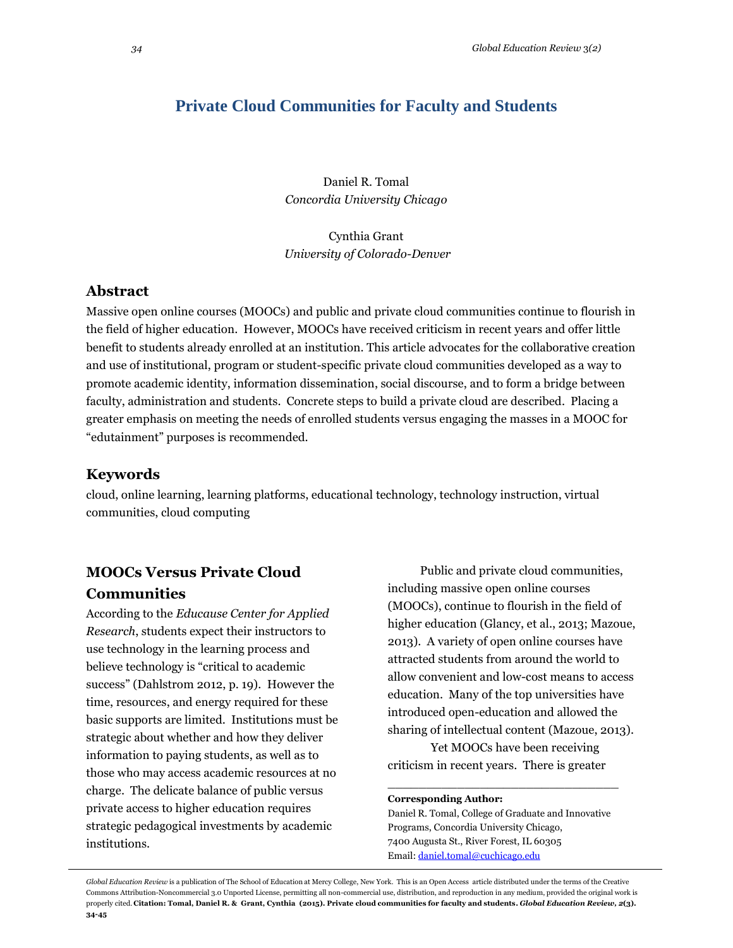### **Private Cloud Communities for Faculty and Students**

Daniel R. Tomal *Concordia University Chicago*

Cynthia Grant *University of Colorado-Denver*

### **Abstract**

Massive open online courses (MOOCs) and public and private cloud communities continue to flourish in the field of higher education. However, MOOCs have received criticism in recent years and offer little benefit to students already enrolled at an institution. This article advocates for the collaborative creation and use of institutional, program or student-specific private cloud communities developed as a way to promote academic identity, information dissemination, social discourse, and to form a bridge between faculty, administration and students. Concrete steps to build a private cloud are described. Placing a greater emphasis on meeting the needs of enrolled students versus engaging the masses in a MOOC for "edutainment" purposes is recommended.

### **Keywords**

cloud, online learning, learning platforms, educational technology, technology instruction, virtual communities, cloud computing

## **MOOCs Versus Private Cloud Communities**

According to the *Educause Center for Applied Research*, students expect their instructors to use technology in the learning process and believe technology is "critical to academic success" (Dahlstrom 2012, p. 19). However the time, resources, and energy required for these basic supports are limited. Institutions must be strategic about whether and how they deliver information to paying students, as well as to those who may access academic resources at no charge. The delicate balance of public versus private access to higher education requires strategic pedagogical investments by academic institutions.

Public and private cloud communities, including massive open online courses (MOOCs), continue to flourish in the field of higher education (Glancy, et al., 2013; Mazoue, 2013). A variety of open online courses have attracted students from around the world to allow convenient and low-cost means to access education. Many of the top universities have introduced open-education and allowed the sharing of intellectual content (Mazoue, 2013).

Yet MOOCs have been receiving criticism in recent years. There is greater

\_\_\_\_\_\_\_\_\_\_\_\_\_\_\_\_\_\_\_\_\_\_\_\_\_\_\_\_\_\_

#### **Corresponding Author:**

Daniel R. Tomal, College of Graduate and Innovative Programs, Concordia University Chicago, 7400 Augusta St., River Forest, IL 60305 Email[: daniel.tomal@cuchicago.edu](mailto:daniel.tomal@cuchicago.edu)

*Global Education Review* is a publication of The School of Education at Mercy College, New York. This is an Open Access article distributed under the terms of the Creative Commons Attribution-Noncommercial 3.0 Unported License, permitting all non-commercial use, distribution, and reproduction in any medium, provided the original work is properly cited. **Citation: Tomal, Daniel R. & Grant, Cynthia (2015). Private cloud communities for faculty and students.** *Global Education Review, 2***(3).**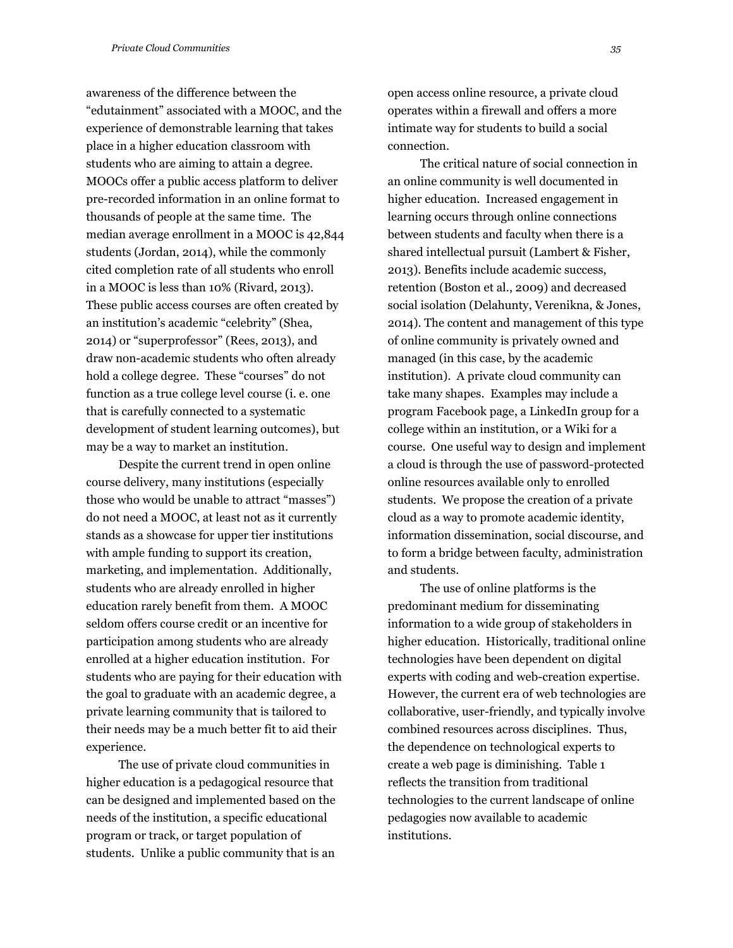awareness of the difference between the "edutainment" associated with a MOOC, and the experience of demonstrable learning that takes place in a higher education classroom with students who are aiming to attain a degree. MOOCs offer a public access platform to deliver pre-recorded information in an online format to thousands of people at the same time. The median average enrollment in a MOOC is 42,844 students (Jordan, 2014), while the commonly cited completion rate of all students who enroll in a MOOC is less than 10% (Rivard, 2013). These public access courses are often created by an institution's academic "celebrity" (Shea, 2014) or "superprofessor" (Rees, 2013), and draw non-academic students who often already hold a college degree. These "courses" do not function as a true college level course (i. e. one that is carefully connected to a systematic development of student learning outcomes), but may be a way to market an institution.

Despite the current trend in open online course delivery, many institutions (especially those who would be unable to attract "masses") do not need a MOOC, at least not as it currently stands as a showcase for upper tier institutions with ample funding to support its creation, marketing, and implementation. Additionally, students who are already enrolled in higher education rarely benefit from them. A MOOC seldom offers course credit or an incentive for participation among students who are already enrolled at a higher education institution. For students who are paying for their education with the goal to graduate with an academic degree, a private learning community that is tailored to their needs may be a much better fit to aid their experience.

The use of private cloud communities in higher education is a pedagogical resource that can be designed and implemented based on the needs of the institution, a specific educational program or track, or target population of students. Unlike a public community that is an open access online resource, a private cloud operates within a firewall and offers a more intimate way for students to build a social connection.

The critical nature of social connection in an online community is well documented in higher education. Increased engagement in learning occurs through online connections between students and faculty when there is a shared intellectual pursuit (Lambert & Fisher, 2013). Benefits include academic success, retention (Boston et al., 2009) and decreased social isolation (Delahunty, Verenikna, & Jones, 2014). The content and management of this type of online community is privately owned and managed (in this case, by the academic institution). A private cloud community can take many shapes. Examples may include a program Facebook page, a LinkedIn group for a college within an institution, or a Wiki for a course. One useful way to design and implement a cloud is through the use of password-protected online resources available only to enrolled students. We propose the creation of a private cloud as a way to promote academic identity, information dissemination, social discourse, and to form a bridge between faculty, administration and students.

The use of online platforms is the predominant medium for disseminating information to a wide group of stakeholders in higher education. Historically, traditional online technologies have been dependent on digital experts with coding and web-creation expertise. However, the current era of web technologies are collaborative, user-friendly, and typically involve combined resources across disciplines. Thus, the dependence on technological experts to create a web page is diminishing. Table 1 reflects the transition from traditional technologies to the current landscape of online pedagogies now available to academic institutions.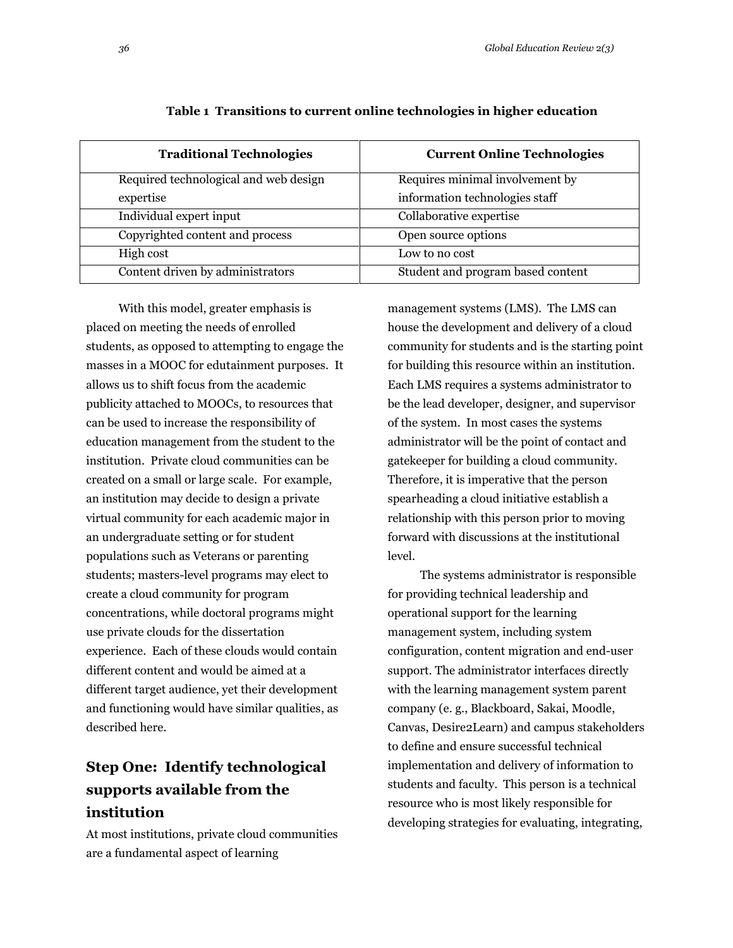| <b>Traditional Technologies</b>       | <b>Current Online Technologies</b> |
|---------------------------------------|------------------------------------|
| Required technological and web design | Requires minimal involvement by    |
| expertise                             | information technologies staff     |
| Individual expert input               | Collaborative expertise            |
| Copyrighted content and process       | Open source options                |
| High cost                             | Low to no cost                     |
| Content driven by administrators      | Student and program based content  |

#### **Table 1 Transitions to current online technologies in higher education**

With this model, greater emphasis is placed on meeting the needs of enrolled students, as opposed to attempting to engage the masses in a MOOC for edutainment purposes. It allows us to shift focus from the academic publicity attached to MOOCs, to resources that can be used to increase the responsibility of education management from the student to the institution. Private cloud communities can be created on a small or large scale. For example, an institution may decide to design a private virtual community for each academic major in an undergraduate setting or for student populations such as Veterans or parenting students; masters-level programs may elect to create a cloud community for program concentrations, while doctoral programs might use private clouds for the dissertation experience. Each of these clouds would contain different content and would be aimed at a different target audience, yet their development and functioning would have similar qualities, as described here.

# **Step One: Identify technological supports available from the institution**

At most institutions, private cloud communities are a fundamental aspect of learning

management systems (LMS). The LMS can house the development and delivery of a cloud community for students and is the starting point for building this resource within an institution. Each LMS requires a systems administrator to be the lead developer, designer, and supervisor of the system. In most cases the systems administrator will be the point of contact and gatekeeper for building a cloud community. Therefore, it is imperative that the person spearheading a cloud initiative establish a relationship with this person prior to moving forward with discussions at the institutional level.

The systems administrator is responsible for providing technical leadership and operational support for the learning management system, including system configuration, content migration and end-user support. The administrator interfaces directly with the learning management system parent company (e. g., Blackboard, Sakai, Moodle, Canvas, Desire2Learn) and campus stakeholders to define and ensure successful technical implementation and delivery of information to students and faculty. This person is a technical resource who is most likely responsible for developing strategies for evaluating, integrating,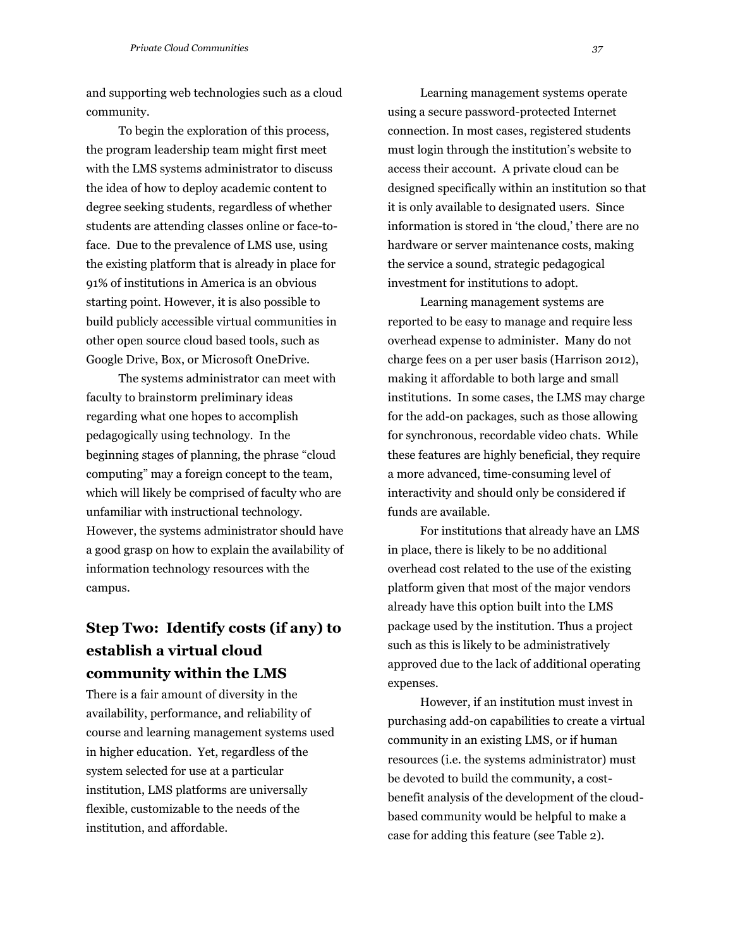and supporting web technologies such as a cloud community.

To begin the exploration of this process, the program leadership team might first meet with the LMS systems administrator to discuss the idea of how to deploy academic content to degree seeking students, regardless of whether students are attending classes online or face-toface. Due to the prevalence of LMS use, using the existing platform that is already in place for 91% of institutions in America is an obvious starting point. However, it is also possible to build publicly accessible virtual communities in other open source cloud based tools, such as Google Drive, Box, or Microsoft OneDrive.

The systems administrator can meet with faculty to brainstorm preliminary ideas regarding what one hopes to accomplish pedagogically using technology. In the beginning stages of planning, the phrase "cloud computing" may a foreign concept to the team, which will likely be comprised of faculty who are unfamiliar with instructional technology. However, the systems administrator should have a good grasp on how to explain the availability of information technology resources with the campus.

# **Step Two: Identify costs (if any) to establish a virtual cloud community within the LMS**

There is a fair amount of diversity in the availability, performance, and reliability of course and learning management systems used in higher education. Yet, regardless of the system selected for use at a particular institution, LMS platforms are universally flexible, customizable to the needs of the institution, and affordable.

Learning management systems operate using a secure password-protected Internet connection. In most cases, registered students must login through the institution's website to access their account. A private cloud can be designed specifically within an institution so that it is only available to designated users. Since information is stored in 'the cloud,' there are no hardware or server maintenance costs, making the service a sound, strategic pedagogical investment for institutions to adopt.

Learning management systems are reported to be easy to manage and require less overhead expense to administer. Many do not charge fees on a per user basis (Harrison 2012), making it affordable to both large and small institutions. In some cases, the LMS may charge for the add-on packages, such as those allowing for synchronous, recordable video chats. While these features are highly beneficial, they require a more advanced, time-consuming level of interactivity and should only be considered if funds are available.

For institutions that already have an LMS in place, there is likely to be no additional overhead cost related to the use of the existing platform given that most of the major vendors already have this option built into the LMS package used by the institution. Thus a project such as this is likely to be administratively approved due to the lack of additional operating expenses.

However, if an institution must invest in purchasing add-on capabilities to create a virtual community in an existing LMS, or if human resources (i.e. the systems administrator) must be devoted to build the community, a costbenefit analysis of the development of the cloudbased community would be helpful to make a case for adding this feature (see Table 2).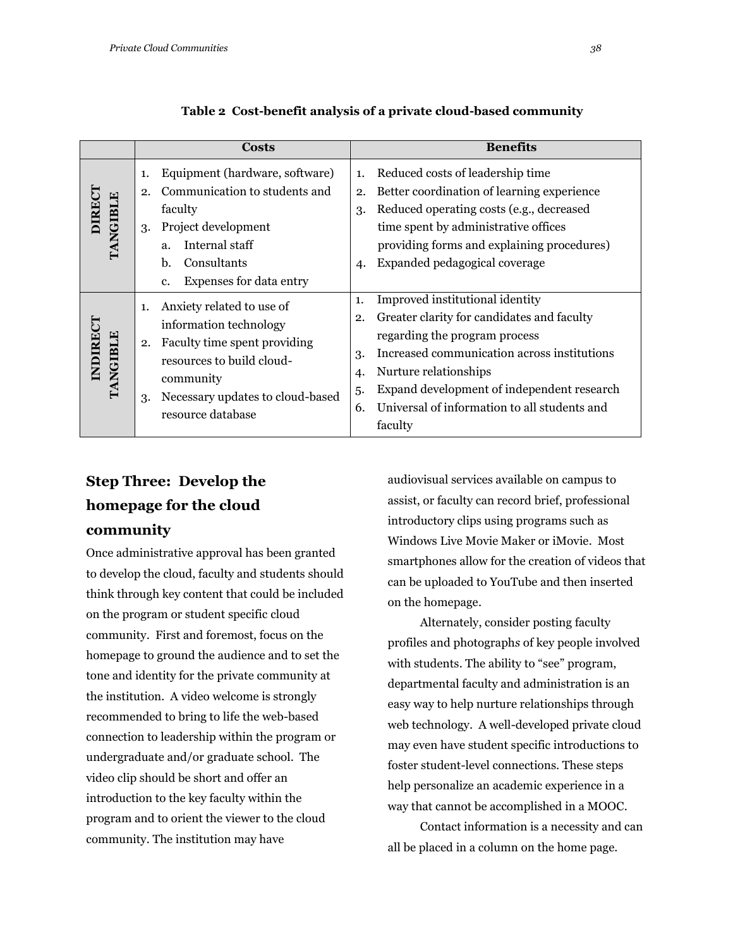|                                    | <b>Costs</b>                                                                                                                                                                                             | <b>Benefits</b>                                                                                                                                                                                                                                                                                                                     |
|------------------------------------|----------------------------------------------------------------------------------------------------------------------------------------------------------------------------------------------------------|-------------------------------------------------------------------------------------------------------------------------------------------------------------------------------------------------------------------------------------------------------------------------------------------------------------------------------------|
| <b>DIRECT</b><br><b>TANGIBLE</b>   | Equipment (hardware, software)<br>1.<br>Communication to students and<br>2.<br>faculty<br>Project development<br>3.<br>Internal staff<br>a.<br>Consultants<br>b.<br>Expenses for data entry<br>c.        | Reduced costs of leadership time<br>1.<br>Better coordination of learning experience<br>2.<br>Reduced operating costs (e.g., decreased<br>3.<br>time spent by administrative offices<br>providing forms and explaining procedures)<br>Expanded pedagogical coverage<br>4.                                                           |
| <b>INDIRECT</b><br><b>TANGIBLE</b> | Anxiety related to use of<br>1.<br>information technology<br>Faculty time spent providing<br>2.<br>resources to build cloud-<br>community<br>Necessary updates to cloud-based<br>3.<br>resource database | Improved institutional identity<br>1.<br>Greater clarity for candidates and faculty<br>2.<br>regarding the program process<br>Increased communication across institutions<br>3.<br>Nurture relationships<br>4.<br>Expand development of independent research<br>5.<br>Universal of information to all students and<br>6.<br>faculty |

### **Table 2 Cost-benefit analysis of a private cloud-based community**

# **Step Three: Develop the homepage for the cloud community**

Once administrative approval has been granted to develop the cloud, faculty and students should think through key content that could be included on the program or student specific cloud community. First and foremost, focus on the homepage to ground the audience and to set the tone and identity for the private community at the institution. A video welcome is strongly recommended to bring to life the web-based connection to leadership within the program or undergraduate and/or graduate school. The video clip should be short and offer an introduction to the key faculty within the program and to orient the viewer to the cloud community. The institution may have

audiovisual services available on campus to assist, or faculty can record brief, professional introductory clips using programs such as Windows Live Movie Maker or iMovie. Most smartphones allow for the creation of videos that can be uploaded to YouTube and then inserted on the homepage.

Alternately, consider posting faculty profiles and photograph*s* of key people involved with students. The ability to "see" program, departmental faculty and administration is an easy way to help nurture relationships through web technology. A well-developed private cloud may even have student specific introductions to foster student-level connections. These steps help personalize an academic experience in a way that cannot be accomplished in a MOOC.

Contact information is a necessity and can all be placed in a column on the home page.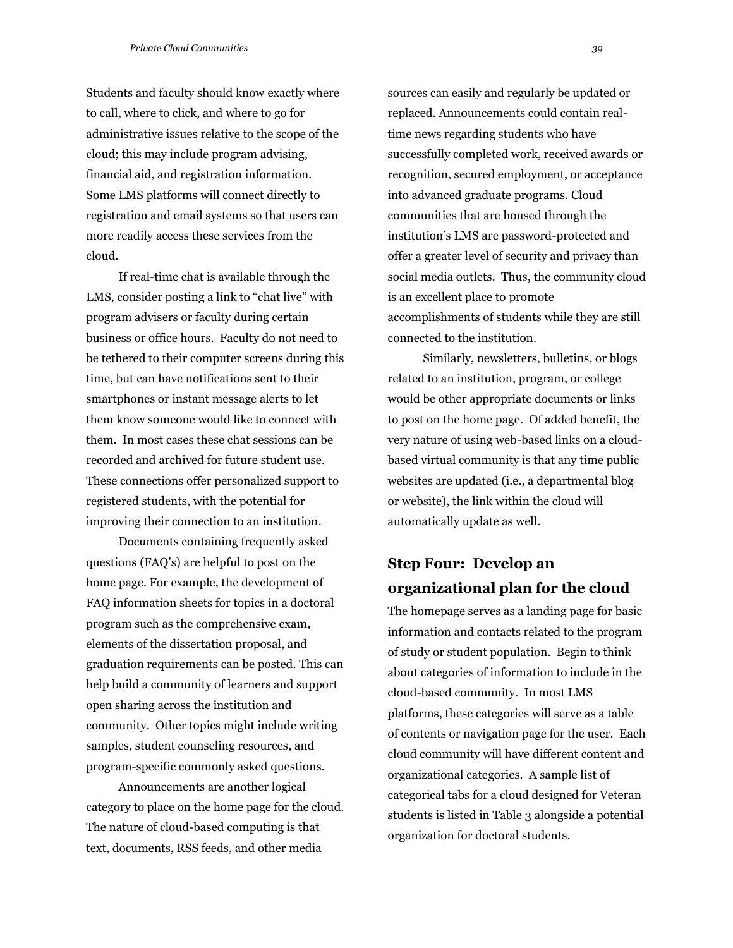Students and faculty should know exactly where to call, where to click, and where to go for administrative issues relative to the scope of the cloud; this may include program advising, financial aid, and registration information. Some LMS platforms will connect directly to registration and email systems so that users can more readily access these services from the cloud.

If real-time chat is available through the LMS, consider posting a link to "chat live" with program advisers or faculty during certain business or office hours. Faculty do not need to be tethered to their computer screens during this time, but can have notifications sent to their smartphones or instant message alerts to let them know someone would like to connect with them. In most cases these chat sessions can be recorded and archived for future student use. These connections offer personalized support to registered students, with the potential for improving their connection to an institution.

Documents containing frequently asked questions (FAQ's) are helpful to post on the home page. For example, the development of FAQ information sheets for topics in a doctoral program such as the comprehensive exam, elements of the dissertation proposal, and graduation requirements can be posted. This can help build a community of learners and support open sharing across the institution and community. Other topics might include writing samples, student counseling resources, and program-specific commonly asked questions.

Announcements are another logical category to place on the home page for the cloud. The nature of cloud-based computing is that text, documents, RSS feeds, and other media

sources can easily and regularly be updated or replaced. Announcements could contain realtime news regarding students who have successfully completed work, received awards or recognition, secured employment, or acceptance into advanced graduate programs. Cloud communities that are housed through the institution's LMS are password-protected and offer a greater level of security and privacy than social media outlets. Thus, the community cloud is an excellent place to promote accomplishments of students while they are still connected to the institution.

Similarly, newsletters, bulletins*,* or blogs related to an institution, program, or college would be other appropriate documents or links to post on the home page. Of added benefit, the very nature of using web-based links on a cloudbased virtual community is that any time public websites are updated (i.e., a departmental blog or website), the link within the cloud will automatically update as well.

# **Step Four: Develop an organizational plan for the cloud**

The homepage serves as a landing page for basic information and contacts related to the program of study or student population. Begin to think about categories of information to include in the cloud-based community. In most LMS platforms, these categories will serve as a table of contents or navigation page for the user. Each cloud community will have different content and organizational categories. A sample list of categorical tabs for a cloud designed for Veteran students is listed in Table 3 alongside a potential organization for doctoral students.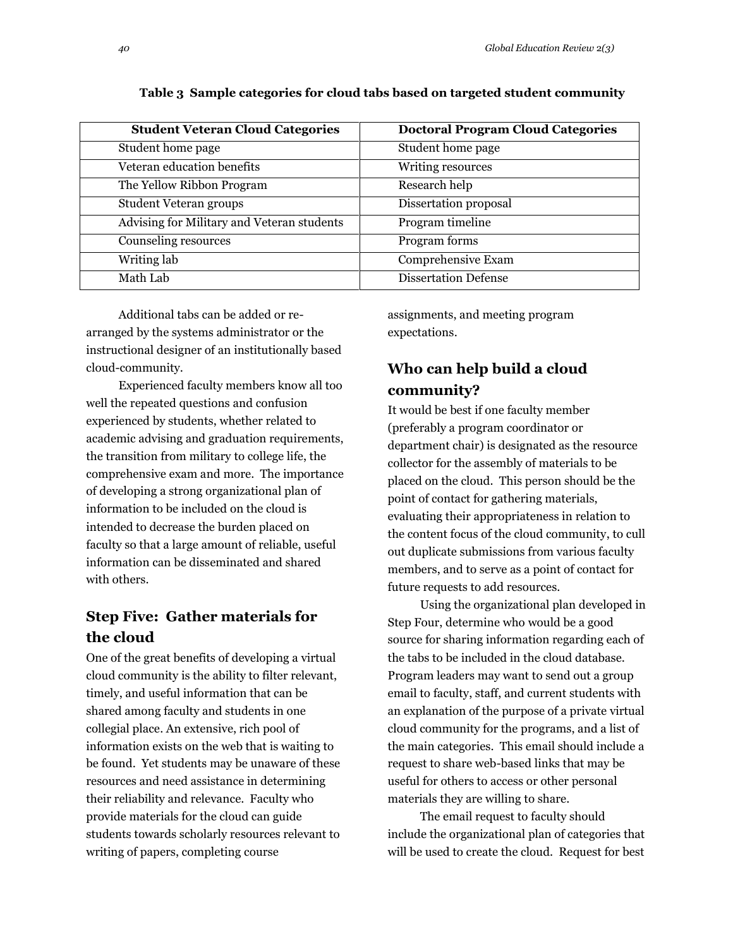| <b>Student Veteran Cloud Categories</b>    | <b>Doctoral Program Cloud Categories</b> |  |
|--------------------------------------------|------------------------------------------|--|
| Student home page                          | Student home page                        |  |
| Veteran education benefits                 | Writing resources                        |  |
| The Yellow Ribbon Program                  | Research help                            |  |
| Student Veteran groups                     | Dissertation proposal                    |  |
| Advising for Military and Veteran students | Program timeline                         |  |
| Counseling resources                       | Program forms                            |  |
| Writing lab                                | Comprehensive Exam                       |  |
| Math Lab                                   | <b>Dissertation Defense</b>              |  |

#### **Table 3 Sample categories for cloud tabs based on targeted student community**

Additional tabs can be added or rearranged by the systems administrator or the instructional designer of an institutionally based cloud-community.

Experienced faculty members know all too well the repeated questions and confusion experienced by students, whether related to academic advising and graduation requirements, the transition from military to college life, the comprehensive exam and more. The importance of developing a strong organizational plan of information to be included on the cloud is intended to decrease the burden placed on faculty so that a large amount of reliable, useful information can be disseminated and shared with others.

## **Step Five: Gather materials for the cloud**

One of the great benefits of developing a virtual cloud community is the ability to filter relevant, timely, and useful information that can be shared among faculty and students in one collegial place. An extensive, rich pool of information exists on the web that is waiting to be found. Yet students may be unaware of these resources and need assistance in determining their reliability and relevance. Faculty who provide materials for the cloud can guide students towards scholarly resources relevant to writing of papers, completing course

assignments, and meeting program expectations.

## **Who can help build a cloud community?**

It would be best if one faculty member (preferably a program coordinator or department chair) is designated as the resource collector for the assembly of materials to be placed on the cloud. This person should be the point of contact for gathering materials, evaluating their appropriateness in relation to the content focus of the cloud community, to cull out duplicate submissions from various faculty members, and to serve as a point of contact for future requests to add resources.

Using the organizational plan developed in Step Four, determine who would be a good source for sharing information regarding each of the tabs to be included in the cloud database. Program leaders may want to send out a group email to faculty, staff, and current students with an explanation of the purpose of a private virtual cloud community for the programs, and a list of the main categories. This email should include a request to share web-based links that may be useful for others to access or other personal materials they are willing to share.

The email request to faculty should include the organizational plan of categories that will be used to create the cloud. Request for best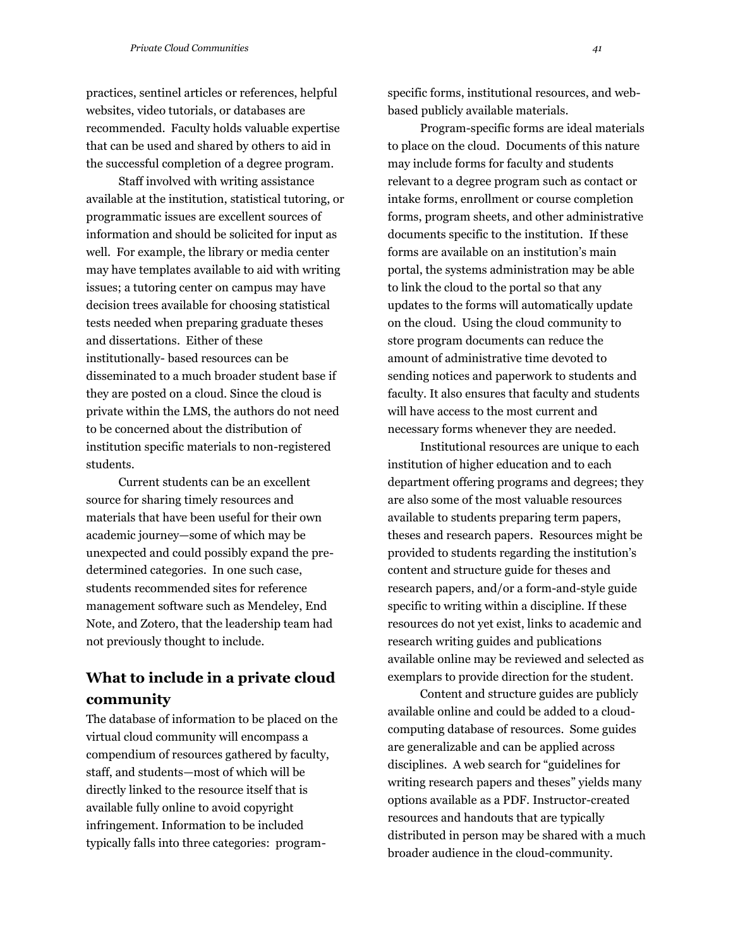practices, sentinel articles or references, helpful websites, video tutorials, or databases are recommended. Faculty holds valuable expertise that can be used and shared by others to aid in the successful completion of a degree program.

Staff involved with writing assistance available at the institution, statistical tutoring, or programmatic issues are excellent sources of information and should be solicited for input as well. For example, the library or media center may have templates available to aid with writing issues; a tutoring center on campus may have decision trees available for choosing statistical tests needed when preparing graduate theses and dissertations. Either of these institutionally- based resources can be disseminated to a much broader student base if they are posted on a cloud. Since the cloud is private within the LMS, the authors do not need to be concerned about the distribution of institution specific materials to non-registered students.

Current students can be an excellent source for sharing timely resources and materials that have been useful for their own academic journey—some of which may be unexpected and could possibly expand the predetermined categories. In one such case, students recommended sites for reference management software such as Mendeley, End Note, and Zotero, that the leadership team had not previously thought to include.

## **What to include in a private cloud community**

The database of information to be placed on the virtual cloud community will encompass a compendium of resources gathered by faculty, staff, and students—most of which will be directly linked to the resource itself that is available fully online to avoid copyright infringement. Information to be included typically falls into three categories: programspecific forms, institutional resources, and webbased publicly available materials.

Program-specific forms are ideal materials to place on the cloud. Documents of this nature may include forms for faculty and students relevant to a degree program such as contact or intake forms, enrollment or course completion forms, program sheets, and other administrative documents specific to the institution. If these forms are available on an institution's main portal, the systems administration may be able to link the cloud to the portal so that any updates to the forms will automatically update on the cloud. Using the cloud community to store program documents can reduce the amount of administrative time devoted to sending notices and paperwork to students and faculty. It also ensures that faculty and students will have access to the most current and necessary forms whenever they are needed.

Institutional resources are unique to each institution of higher education and to each department offering programs and degrees; they are also some of the most valuable resources available to students preparing term papers, theses and research papers. Resources might be provided to students regarding the institution's content and structure guide for theses and research papers, and/or a form-and-style guide specific to writing within a discipline. If these resources do not yet exist, links to academic and research writing guides and publications available online may be reviewed and selected as exemplars to provide direction for the student.

Content and structure guides are publicly available online and could be added to a cloudcomputing database of resources. Some guides are generalizable and can be applied across disciplines. A web search for "guidelines for writing research papers and theses" yields many options available as a PDF. Instructor-created resources and handouts that are typically distributed in person may be shared with a much broader audience in the cloud-community.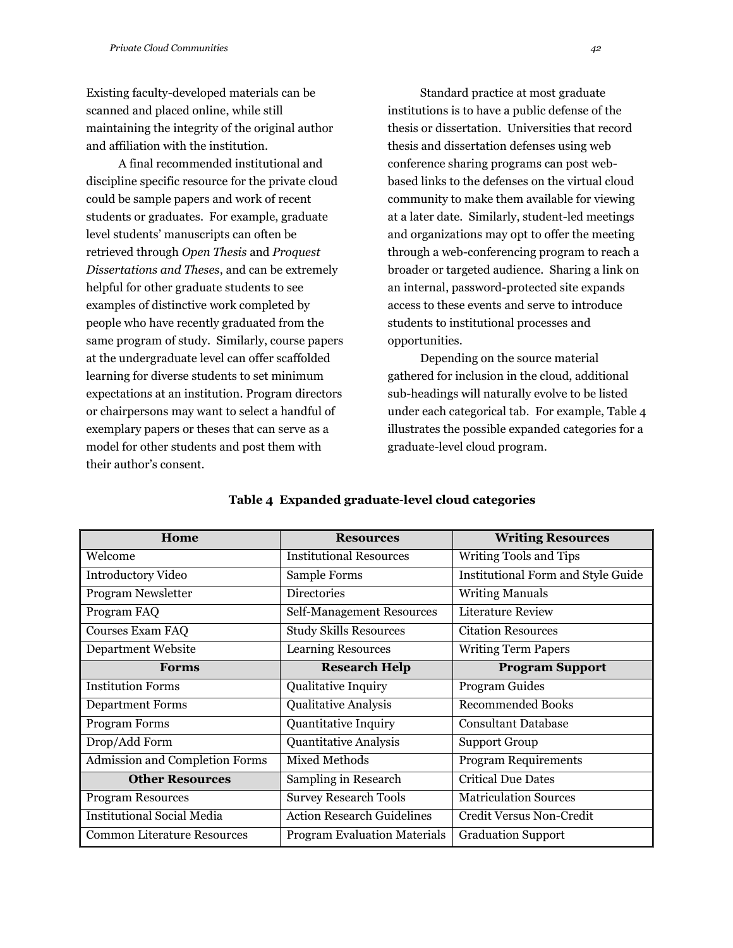Existing faculty-developed materials can be scanned and placed online, while still maintaining the integrity of the original author and affiliation with the institution.

A final recommended institutional and discipline specific resource for the private cloud could be sample papers and work of recent students or graduates. For example, graduate level students' manuscripts can often be retrieved through *Open Thesis* and *Proquest Dissertations and Theses*, and can be extremely helpful for other graduate students to see examples of distinctive work completed by people who have recently graduated from the same program of study. Similarly, course papers at the undergraduate level can offer scaffolded learning for diverse students to set minimum expectations at an institution. Program directors or chairpersons may want to select a handful of exemplary papers or theses that can serve as a model for other students and post them with their author's consent.

Standard practice at most graduate institutions is to have a public defense of the thesis or dissertation. Universities that record thesis and dissertation defenses using web conference sharing programs can post webbased links to the defenses on the virtual cloud community to make them available for viewing at a later date. Similarly, student-led meetings and organizations may opt to offer the meeting through a web-conferencing program to reach a broader or targeted audience. Sharing a link on an internal, password-protected site expands access to these events and serve to introduce students to institutional processes and opportunities.

Depending on the source material gathered for inclusion in the cloud, additional sub-headings will naturally evolve to be listed under each categorical tab. For example, Table 4 illustrates the possible expanded categories for a graduate-level cloud program.

| Home                               | <b>Resources</b>                    | <b>Writing Resources</b>                  |
|------------------------------------|-------------------------------------|-------------------------------------------|
| Welcome                            | <b>Institutional Resources</b>      | Writing Tools and Tips                    |
| Introductory Video                 | Sample Forms                        | <b>Institutional Form and Style Guide</b> |
| Program Newsletter                 | Directories                         | <b>Writing Manuals</b>                    |
| Program FAQ                        | Self-Management Resources           | Literature Review                         |
| <b>Courses Exam FAQ</b>            | <b>Study Skills Resources</b>       | <b>Citation Resources</b>                 |
| Department Website                 | <b>Learning Resources</b>           | <b>Writing Term Papers</b>                |
| <b>Forms</b>                       | <b>Research Help</b>                | <b>Program Support</b>                    |
| <b>Institution Forms</b>           | <b>Qualitative Inquiry</b>          | <b>Program Guides</b>                     |
| <b>Department Forms</b>            | <b>Qualitative Analysis</b>         | <b>Recommended Books</b>                  |
| Program Forms                      | Quantitative Inquiry                | <b>Consultant Database</b>                |
| Drop/Add Form                      | Quantitative Analysis               | <b>Support Group</b>                      |
| Admission and Completion Forms     | <b>Mixed Methods</b>                | <b>Program Requirements</b>               |
| <b>Other Resources</b>             | Sampling in Research                | <b>Critical Due Dates</b>                 |
| <b>Program Resources</b>           | <b>Survey Research Tools</b>        | <b>Matriculation Sources</b>              |
| <b>Institutional Social Media</b>  | <b>Action Research Guidelines</b>   | Credit Versus Non-Credit                  |
| <b>Common Literature Resources</b> | <b>Program Evaluation Materials</b> | <b>Graduation Support</b>                 |

#### **Table 4 Expanded graduate-level cloud categories**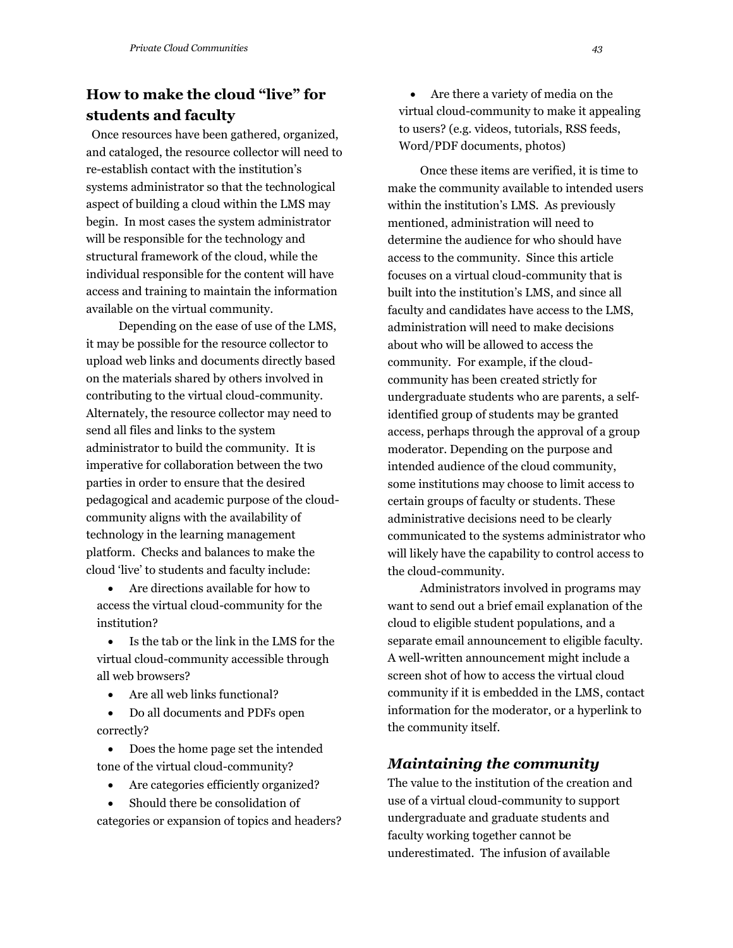## **How to make the cloud "live" for students and faculty**

Once resources have been gathered, organized, and cataloged, the resource collector will need to re-establish contact with the institution's systems administrator so that the technological aspect of building a cloud within the LMS may begin. In most cases the system administrator will be responsible for the technology and structural framework of the cloud, while the individual responsible for the content will have access and training to maintain the information available on the virtual community.

Depending on the ease of use of the LMS, it may be possible for the resource collector to upload web links and documents directly based on the materials shared by others involved in contributing to the virtual cloud-community. Alternately, the resource collector may need to send all files and links to the system administrator to build the community. It is imperative for collaboration between the two parties in order to ensure that the desired pedagogical and academic purpose of the cloudcommunity aligns with the availability of technology in the learning management platform. Checks and balances to make the cloud 'live' to students and faculty include:

 Are directions available for how to access the virtual cloud-community for the institution?

 Is the tab or the link in the LMS for the virtual cloud-community accessible through all web browsers?

• Are all web links functional?

 Do all documents and PDFs open correctly?

 Does the home page set the intended tone of the virtual cloud-community?

• Are categories efficiently organized?

 Should there be consolidation of categories or expansion of topics and headers?

 Are there a variety of media on the virtual cloud-community to make it appealing to users? (e.g. videos, tutorials, RSS feeds, Word/PDF documents, photos)

Once these items are verified, it is time to make the community available to intended users within the institution's LMS. As previously mentioned, administration will need to determine the audience for who should have access to the community. Since this article focuses on a virtual cloud-community that is built into the institution's LMS, and since all faculty and candidates have access to the LMS, administration will need to make decisions about who will be allowed to access the community. For example, if the cloudcommunity has been created strictly for undergraduate students who are parents, a selfidentified group of students may be granted access, perhaps through the approval of a group moderator. Depending on the purpose and intended audience of the cloud community, some institutions may choose to limit access to certain groups of faculty or students. These administrative decisions need to be clearly communicated to the systems administrator who will likely have the capability to control access to the cloud-community.

Administrators involved in programs may want to send out a brief email explanation of the cloud to eligible student populations, and a separate email announcement to eligible faculty. A well-written announcement might include a screen shot of how to access the virtual cloud community if it is embedded in the LMS, contact information for the moderator, or a hyperlink to the community itself.

### *Maintaining the community*

The value to the institution of the creation and use of a virtual cloud-community to support undergraduate and graduate students and faculty working together cannot be underestimated. The infusion of available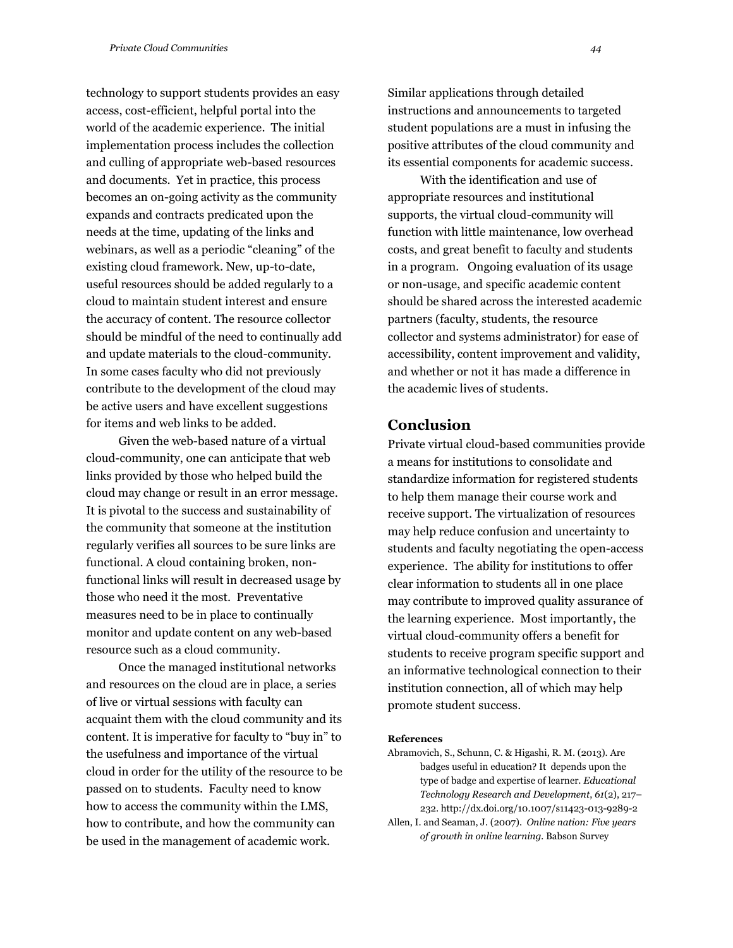technology to support students provides an easy access, cost-efficient, helpful portal into the world of the academic experience. The initial implementation process includes the collection and culling of appropriate web-based resources and documents. Yet in practice, this process becomes an on-going activity as the community expands and contracts predicated upon the needs at the time, updating of the links and webinars, as well as a periodic "cleaning" of the existing cloud framework. New, up-to-date, useful resources should be added regularly to a cloud to maintain student interest and ensure the accuracy of content. The resource collector should be mindful of the need to continually add and update materials to the cloud-community. In some cases faculty who did not previously contribute to the development of the cloud may be active users and have excellent suggestions for items and web links to be added.

Given the web-based nature of a virtual cloud-community, one can anticipate that web links provided by those who helped build the cloud may change or result in an error message. It is pivotal to the success and sustainability of the community that someone at the institution regularly verifies all sources to be sure links are functional. A cloud containing broken, nonfunctional links will result in decreased usage by those who need it the most. Preventative measures need to be in place to continually monitor and update content on any web-based resource such as a cloud community.

Once the managed institutional networks and resources on the cloud are in place, a series of live or virtual sessions with faculty can acquaint them with the cloud community and its content. It is imperative for faculty to "buy in" to the usefulness and importance of the virtual cloud in order for the utility of the resource to be passed on to students. Faculty need to know how to access the community within the LMS, how to contribute, and how the community can be used in the management of academic work.

Similar applications through detailed instructions and announcements to targeted student populations are a must in infusing the positive attributes of the cloud community and its essential components for academic success.

With the identification and use of appropriate resources and institutional supports, the virtual cloud-community will function with little maintenance, low overhead costs, and great benefit to faculty and students in a program. Ongoing evaluation of its usage or non-usage, and specific academic content should be shared across the interested academic partners (faculty, students, the resource collector and systems administrator) for ease of accessibility, content improvement and validity, and whether or not it has made a difference in the academic lives of students.

### **Conclusion**

Private virtual cloud-based communities provide a means for institutions to consolidate and standardize information for registered students to help them manage their course work and receive support. The virtualization of resources may help reduce confusion and uncertainty to students and faculty negotiating the open-access experience. The ability for institutions to offer clear information to students all in one place may contribute to improved quality assurance of the learning experience. Most importantly, the virtual cloud-community offers a benefit for students to receive program specific support and an informative technological connection to their institution connection, all of which may help promote student success.

#### **References**

- Abramovich, S., Schunn, C. & Higashi, R. M. (2013). Are badges useful in education? It depends upon the type of badge and expertise of learner. *Educational Technology Research and Development*, *61*(2), 217– 232. http://dx.doi.org/10.1007/s11423-013-9289-2
- Allen, I. and Seaman, J. (2007). *Online nation: Five years of growth in online learning.* Babson Survey